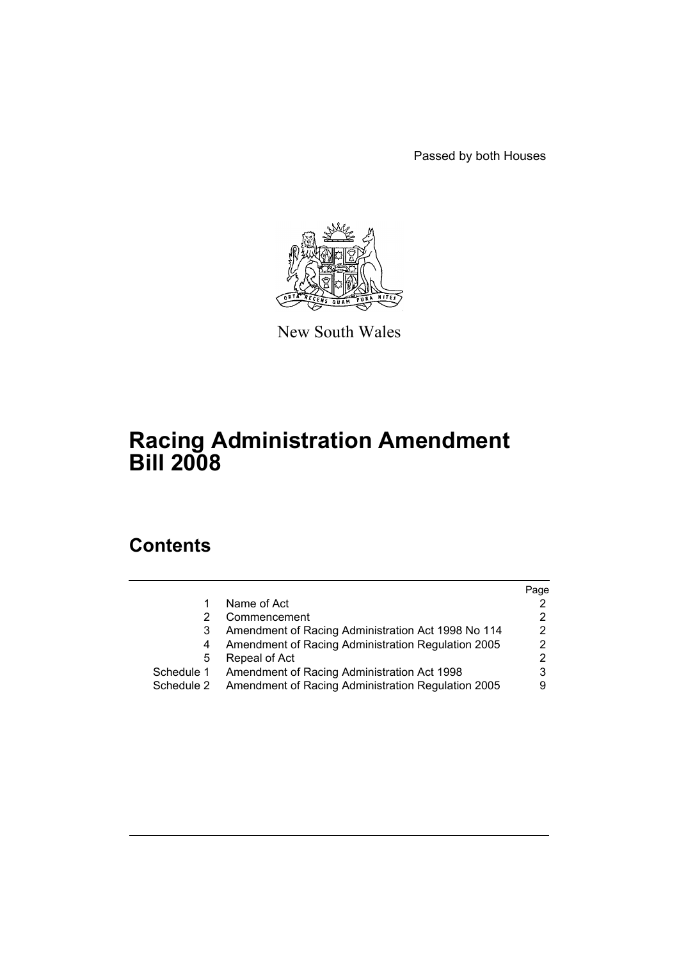Passed by both Houses



New South Wales

# **Racing Administration Amendment Bill 2008**

# **Contents**

|            |                                                    | Page |
|------------|----------------------------------------------------|------|
|            | Name of Act                                        |      |
|            | Commencement                                       |      |
|            | Amendment of Racing Administration Act 1998 No 114 |      |
| 4          | Amendment of Racing Administration Regulation 2005 |      |
| 5          | Repeal of Act                                      |      |
| Schedule 1 | Amendment of Racing Administration Act 1998        |      |
| Schedule 2 | Amendment of Racing Administration Regulation 2005 | 9    |
|            |                                                    |      |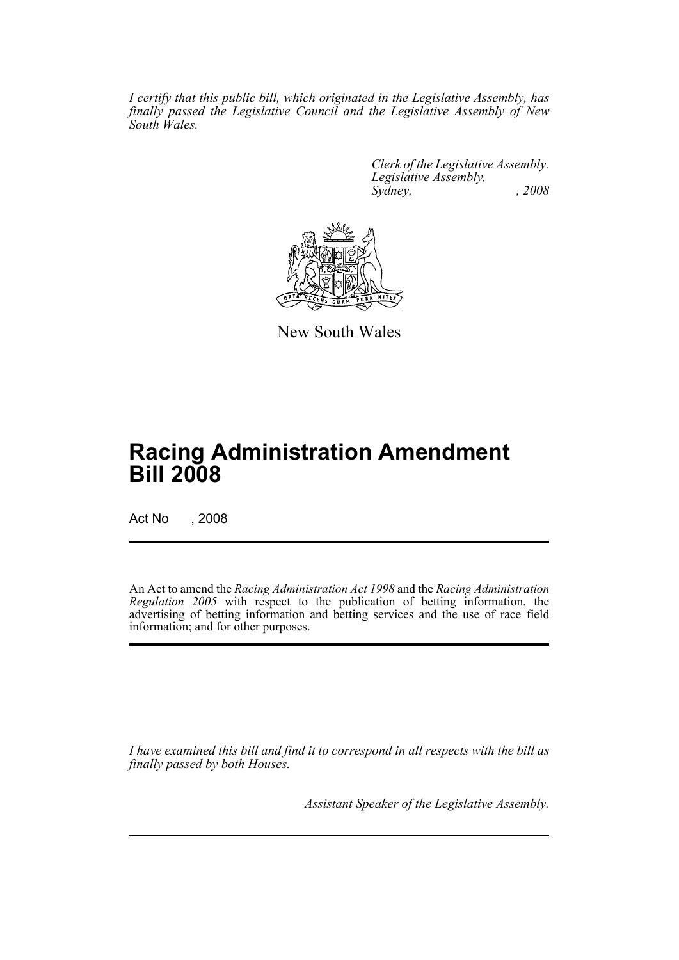*I certify that this public bill, which originated in the Legislative Assembly, has finally passed the Legislative Council and the Legislative Assembly of New South Wales.*

> *Clerk of the Legislative Assembly. Legislative Assembly, Sydney, , 2008*



New South Wales

# **Racing Administration Amendment Bill 2008**

Act No , 2008

An Act to amend the *Racing Administration Act 1998* and the *Racing Administration Regulation 2005* with respect to the publication of betting information, the advertising of betting information and betting services and the use of race field information; and for other purposes.

*I have examined this bill and find it to correspond in all respects with the bill as finally passed by both Houses.*

*Assistant Speaker of the Legislative Assembly.*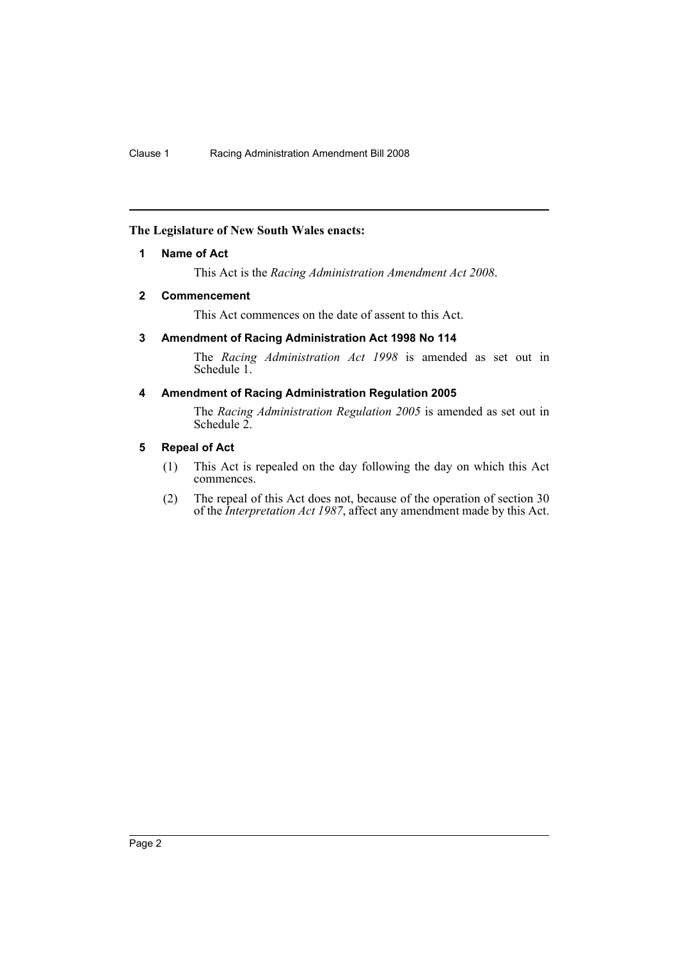### <span id="page-2-0"></span>**The Legislature of New South Wales enacts:**

#### **1 Name of Act**

This Act is the *Racing Administration Amendment Act 2008*.

#### <span id="page-2-1"></span>**2 Commencement**

This Act commences on the date of assent to this Act.

#### <span id="page-2-2"></span>**3 Amendment of Racing Administration Act 1998 No 114**

The *Racing Administration Act 1998* is amended as set out in Schedule 1.

#### <span id="page-2-3"></span>**4 Amendment of Racing Administration Regulation 2005**

The *Racing Administration Regulation 2005* is amended as set out in Schedule 2.

#### <span id="page-2-4"></span>**5 Repeal of Act**

- (1) This Act is repealed on the day following the day on which this Act commences.
- (2) The repeal of this Act does not, because of the operation of section 30 of the *Interpretation Act 1987*, affect any amendment made by this Act.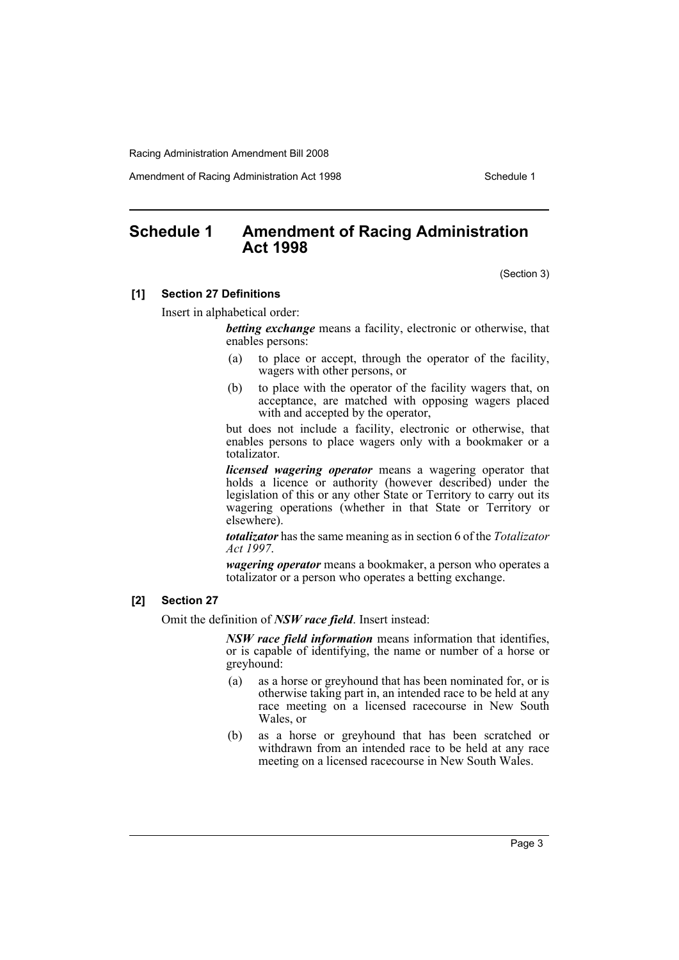Amendment of Racing Administration Act 1998 **Schedule 1** Schedule 1

# <span id="page-3-0"></span>**Schedule 1 Amendment of Racing Administration Act 1998**

(Section 3)

#### **[1] Section 27 Definitions**

Insert in alphabetical order:

*betting exchange* means a facility, electronic or otherwise, that enables persons:

- (a) to place or accept, through the operator of the facility, wagers with other persons, or
- (b) to place with the operator of the facility wagers that, on acceptance, are matched with opposing wagers placed with and accepted by the operator,

but does not include a facility, electronic or otherwise, that enables persons to place wagers only with a bookmaker or a totalizator.

*licensed wagering operator* means a wagering operator that holds a licence or authority (however described) under the legislation of this or any other State or Territory to carry out its wagering operations (whether in that State or Territory or elsewhere).

*totalizator* has the same meaning as in section 6 of the *Totalizator Act 1997*.

*wagering operator* means a bookmaker, a person who operates a totalizator or a person who operates a betting exchange.

#### **[2] Section 27**

Omit the definition of *NSW race field*. Insert instead:

*NSW race field information* means information that identifies, or is capable of identifying, the name or number of a horse or greyhound:

- (a) as a horse or greyhound that has been nominated for, or is otherwise taking part in, an intended race to be held at any race meeting on a licensed racecourse in New South Wales, or
- (b) as a horse or greyhound that has been scratched or withdrawn from an intended race to be held at any race meeting on a licensed racecourse in New South Wales.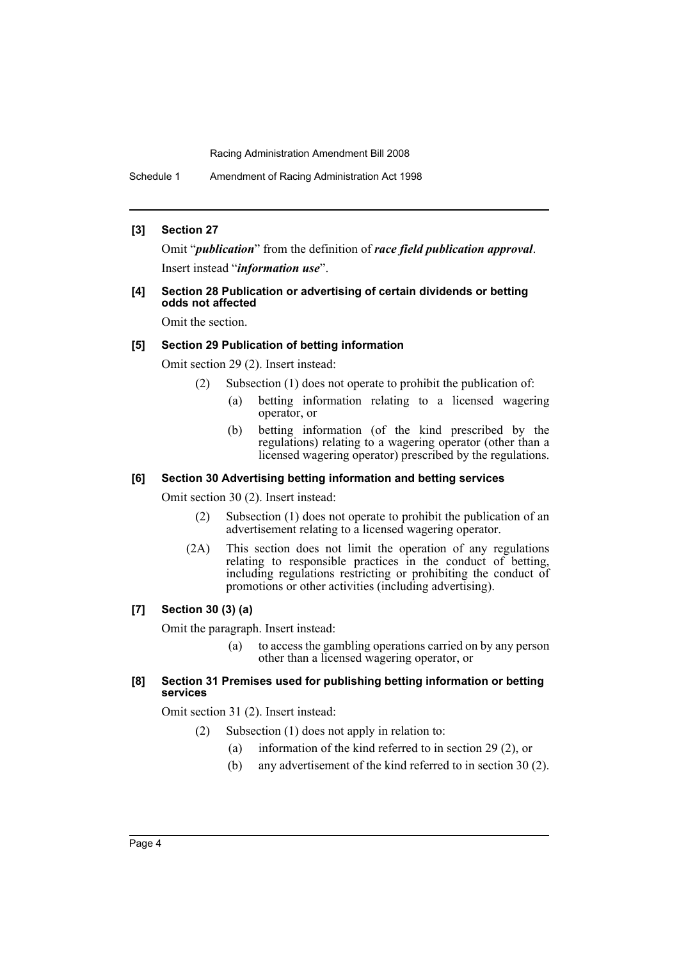#### **[3] Section 27**

Omit "*publication*" from the definition of *race field publication approval*. Insert instead "*information use*".

#### **[4] Section 28 Publication or advertising of certain dividends or betting odds not affected**

Omit the section.

#### **[5] Section 29 Publication of betting information**

Omit section 29 (2). Insert instead:

- (2) Subsection (1) does not operate to prohibit the publication of:
	- (a) betting information relating to a licensed wagering operator, or
	- (b) betting information (of the kind prescribed by the regulations) relating to a wagering operator (other than a licensed wagering operator) prescribed by the regulations.

#### **[6] Section 30 Advertising betting information and betting services**

Omit section 30 (2). Insert instead:

- (2) Subsection (1) does not operate to prohibit the publication of an advertisement relating to a licensed wagering operator.
- (2A) This section does not limit the operation of any regulations relating to responsible practices in the conduct of betting, including regulations restricting or prohibiting the conduct of promotions or other activities (including advertising).

#### **[7] Section 30 (3) (a)**

Omit the paragraph. Insert instead:

(a) to access the gambling operations carried on by any person other than a licensed wagering operator, or

#### **[8] Section 31 Premises used for publishing betting information or betting services**

Omit section 31 (2). Insert instead:

- (2) Subsection (1) does not apply in relation to:
	- (a) information of the kind referred to in section 29 (2), or
	- (b) any advertisement of the kind referred to in section 30 (2).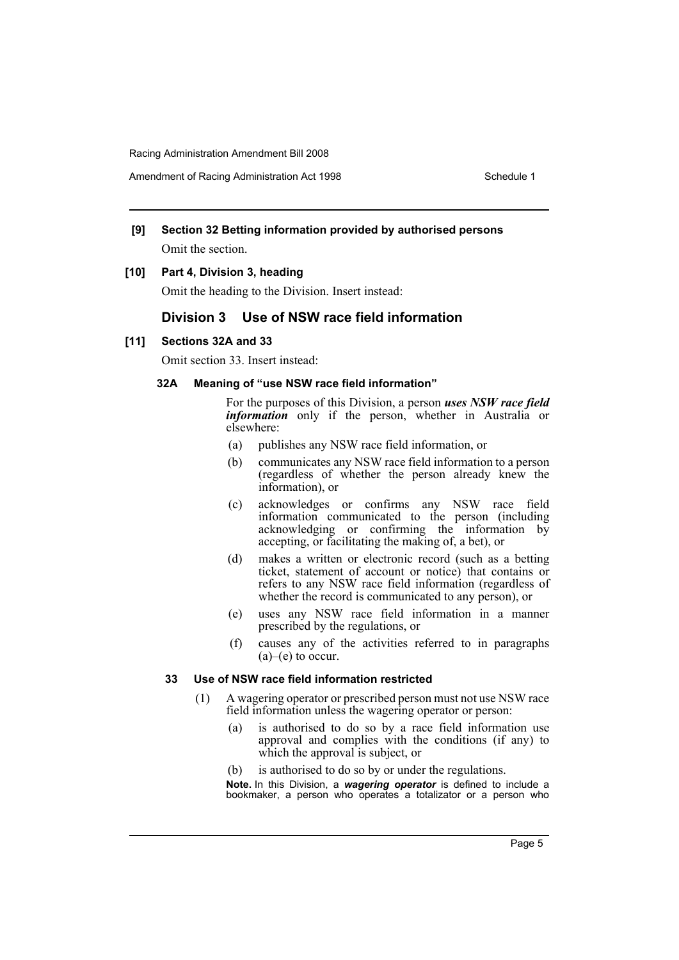## **[9] Section 32 Betting information provided by authorised persons** Omit the section.

#### **[10] Part 4, Division 3, heading**

Omit the heading to the Division. Insert instead:

## **Division 3 Use of NSW race field information**

#### **[11] Sections 32A and 33**

Omit section 33. Insert instead:

#### **32A Meaning of "use NSW race field information"**

For the purposes of this Division, a person *uses NSW race field information* only if the person, whether in Australia or elsewhere:

- (a) publishes any NSW race field information, or
- (b) communicates any NSW race field information to a person (regardless of whether the person already knew the information), or
- (c) acknowledges or confirms any NSW race field information communicated to the person (including acknowledging or confirming the information by accepting, or facilitating the making of, a bet), or
- (d) makes a written or electronic record (such as a betting ticket, statement of account or notice) that contains or refers to any NSW race field information (regardless of whether the record is communicated to any person), or
- (e) uses any NSW race field information in a manner prescribed by the regulations, or
- (f) causes any of the activities referred to in paragraphs  $(a)$ – $(e)$  to occur.

#### **33 Use of NSW race field information restricted**

- (1) A wagering operator or prescribed person must not use NSW race field information unless the wagering operator or person:
	- (a) is authorised to do so by a race field information use approval and complies with the conditions (if any) to which the approval is subject, or
	- (b) is authorised to do so by or under the regulations.

**Note.** In this Division, a *wagering operator* is defined to include a bookmaker, a person who operates a totalizator or a person who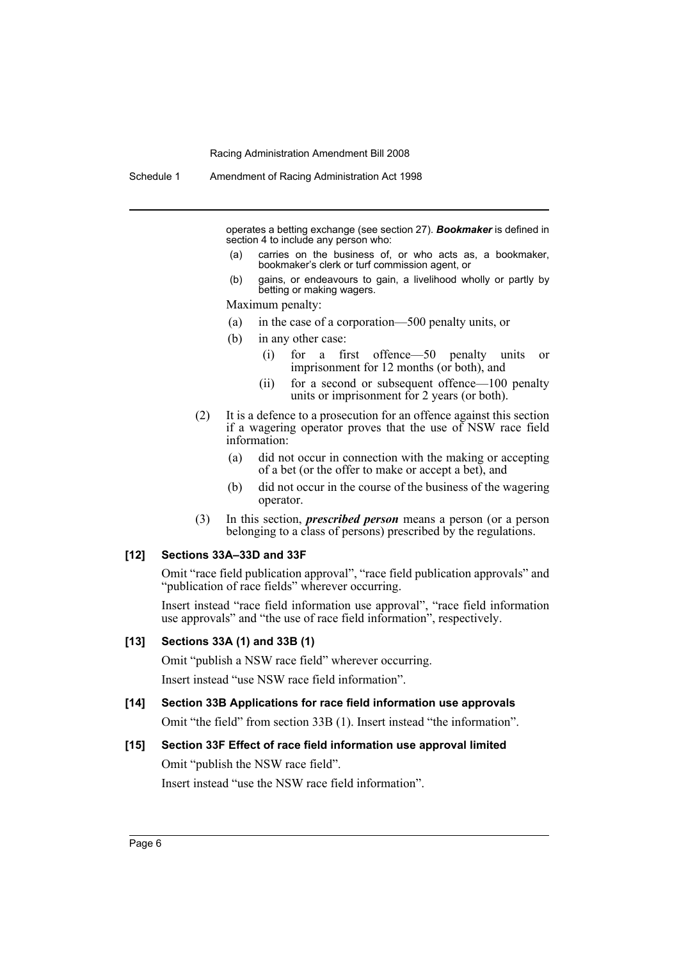operates a betting exchange (see section 27). *Bookmaker* is defined in section 4 to include any person who:

- (a) carries on the business of, or who acts as, a bookmaker, bookmaker's clerk or turf commission agent, or
- (b) gains, or endeavours to gain, a livelihood wholly or partly by betting or making wagers.

Maximum penalty:

- (a) in the case of a corporation—500 penalty units, or
- (b) in any other case:
	- (i) for a first offence—50 penalty units or imprisonment for 12 months (or both), and
	- (ii) for a second or subsequent offence—100 penalty units or imprisonment for 2 years (or both).
- (2) It is a defence to a prosecution for an offence against this section if a wagering operator proves that the use of NSW race field information:
	- (a) did not occur in connection with the making or accepting of a bet (or the offer to make or accept a bet), and
	- (b) did not occur in the course of the business of the wagering operator.
- (3) In this section, *prescribed person* means a person (or a person belonging to a class of persons) prescribed by the regulations.

#### **[12] Sections 33A–33D and 33F**

Omit "race field publication approval", "race field publication approvals" and "publication of race fields" wherever occurring.

Insert instead "race field information use approval", "race field information use approvals" and "the use of race field information", respectively.

### **[13] Sections 33A (1) and 33B (1)**

Omit "publish a NSW race field" wherever occurring.

Insert instead "use NSW race field information".

# **[14] Section 33B Applications for race field information use approvals**

Omit "the field" from section 33B (1). Insert instead "the information".

#### **[15] Section 33F Effect of race field information use approval limited**

Omit "publish the NSW race field".

Insert instead "use the NSW race field information".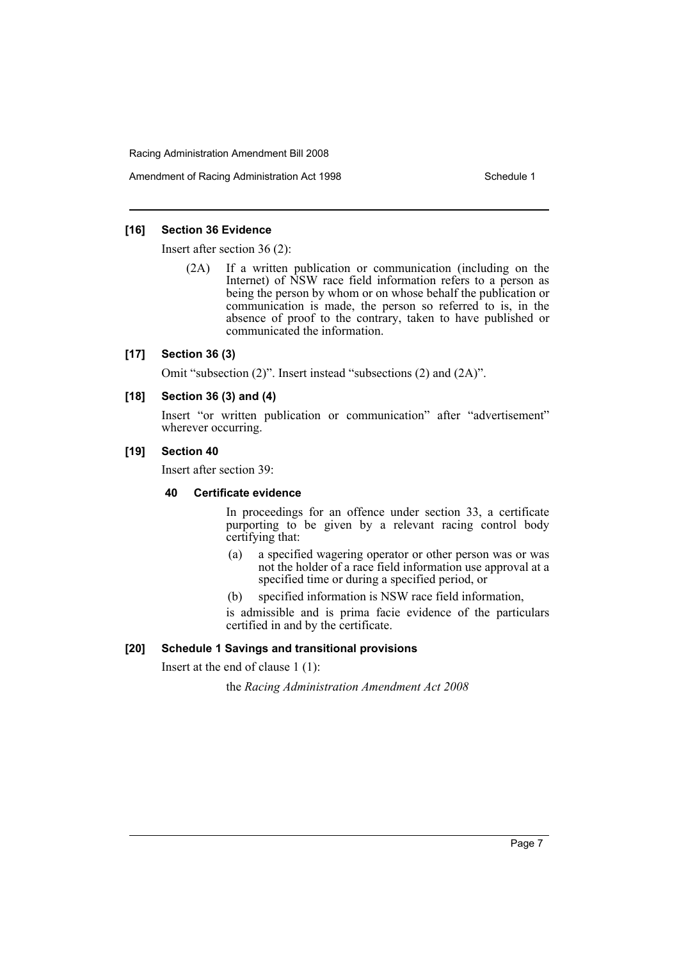Amendment of Racing Administration Act 1998 Schedule 1

#### **[16] Section 36 Evidence**

Insert after section 36 (2):

(2A) If a written publication or communication (including on the Internet) of NSW race field information refers to a person as being the person by whom or on whose behalf the publication or communication is made, the person so referred to is, in the absence of proof to the contrary, taken to have published or communicated the information.

#### **[17] Section 36 (3)**

Omit "subsection (2)". Insert instead "subsections (2) and (2A)".

#### **[18] Section 36 (3) and (4)**

Insert "or written publication or communication" after "advertisement" wherever occurring.

#### **[19] Section 40**

Insert after section 39:

#### **40 Certificate evidence**

In proceedings for an offence under section 33, a certificate purporting to be given by a relevant racing control body certifying that:

- (a) a specified wagering operator or other person was or was not the holder of a race field information use approval at a specified time or during a specified period, or
- (b) specified information is NSW race field information,

is admissible and is prima facie evidence of the particulars certified in and by the certificate.

### **[20] Schedule 1 Savings and transitional provisions**

Insert at the end of clause 1 (1):

the *Racing Administration Amendment Act 2008*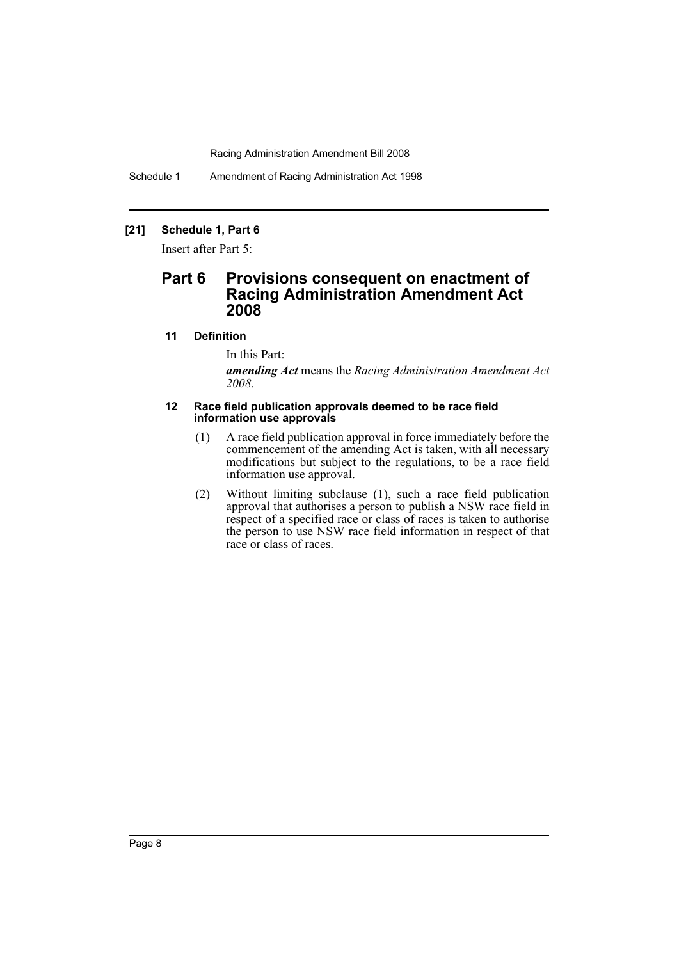Schedule 1 Amendment of Racing Administration Act 1998

## **[21] Schedule 1, Part 6**

Insert after Part 5:

## **Part 6 Provisions consequent on enactment of Racing Administration Amendment Act 2008**

#### **11 Definition**

In this Part:

*amending Act* means the *Racing Administration Amendment Act 2008*.

#### **12 Race field publication approvals deemed to be race field information use approvals**

- (1) A race field publication approval in force immediately before the commencement of the amending Act is taken, with all necessary modifications but subject to the regulations, to be a race field information use approval.
- (2) Without limiting subclause (1), such a race field publication approval that authorises a person to publish a NSW race field in respect of a specified race or class of races is taken to authorise the person to use NSW race field information in respect of that race or class of races.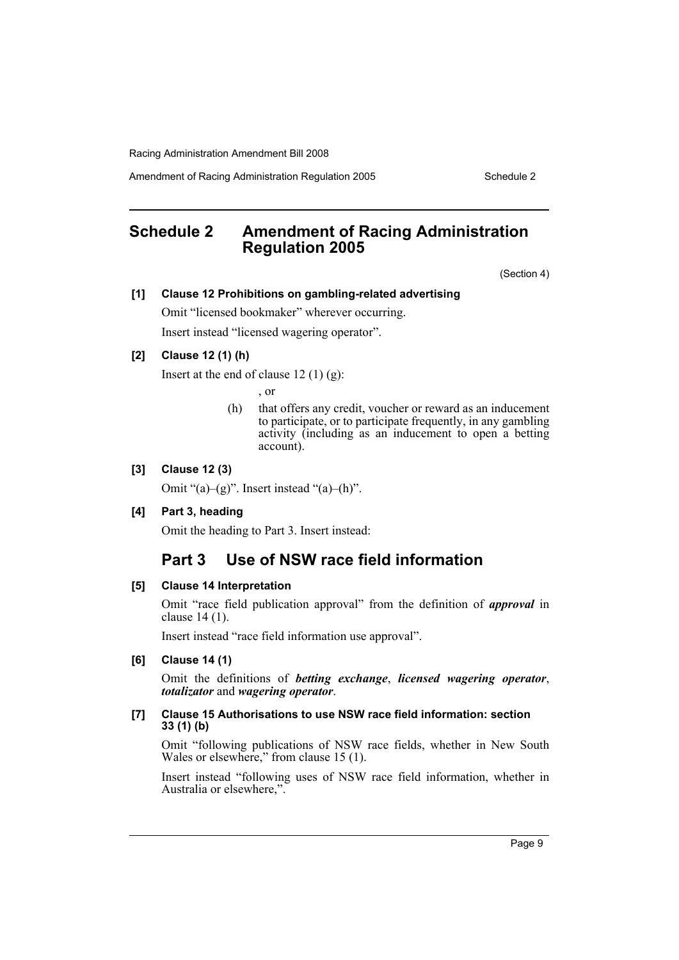Amendment of Racing Administration Regulation 2005 Schedule 2

# <span id="page-9-0"></span>**Schedule 2 Amendment of Racing Administration Regulation 2005**

(Section 4)

#### **[1] Clause 12 Prohibitions on gambling-related advertising**

Omit "licensed bookmaker" wherever occurring. Insert instead "licensed wagering operator".

#### **[2] Clause 12 (1) (h)**

Insert at the end of clause  $12(1)(g)$ :

, or

(h) that offers any credit, voucher or reward as an inducement to participate, or to participate frequently, in any gambling activity (including as an inducement to open a betting account).

#### **[3] Clause 12 (3)**

Omit " $(a)$ – $(g)$ ". Insert instead " $(a)$ – $(h)$ ".

#### **[4] Part 3, heading**

Omit the heading to Part 3. Insert instead:

## **Part 3 Use of NSW race field information**

#### **[5] Clause 14 Interpretation**

Omit "race field publication approval" from the definition of *approval* in clause 14 (1).

Insert instead "race field information use approval".

#### **[6] Clause 14 (1)**

Omit the definitions of *betting exchange*, *licensed wagering operator*, *totalizator* and *wagering operator*.

#### **[7] Clause 15 Authorisations to use NSW race field information: section 33 (1) (b)**

Omit "following publications of NSW race fields, whether in New South Wales or elsewhere," from clause 15 (1).

Insert instead "following uses of NSW race field information, whether in Australia or elsewhere,".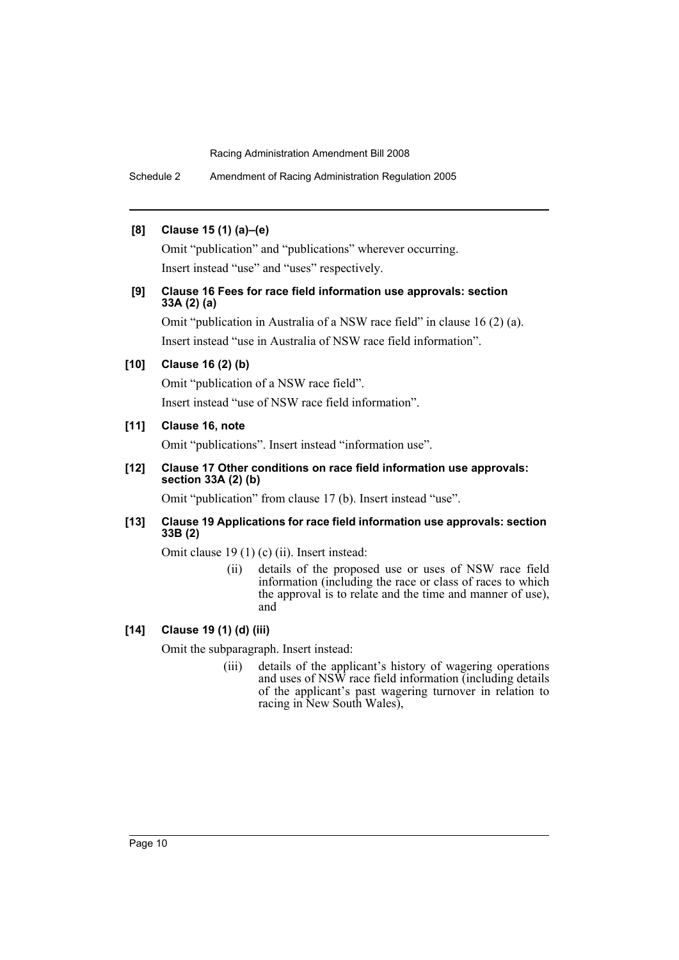Schedule 2 Amendment of Racing Administration Regulation 2005

#### **[8] Clause 15 (1) (a)–(e)**

Omit "publication" and "publications" wherever occurring. Insert instead "use" and "uses" respectively.

### **[9] Clause 16 Fees for race field information use approvals: section 33A (2) (a)**

Omit "publication in Australia of a NSW race field" in clause 16 (2) (a). Insert instead "use in Australia of NSW race field information".

### **[10] Clause 16 (2) (b)**

Omit "publication of a NSW race field".

Insert instead "use of NSW race field information".

### **[11] Clause 16, note**

Omit "publications". Insert instead "information use".

### **[12] Clause 17 Other conditions on race field information use approvals: section 33A (2) (b)**

Omit "publication" from clause 17 (b). Insert instead "use".

#### **[13] Clause 19 Applications for race field information use approvals: section 33B (2)**

Omit clause 19 (1) (c) (ii). Insert instead:

(ii) details of the proposed use or uses of NSW race field information (including the race or class of races to which the approval is to relate and the time and manner of use), and

### **[14] Clause 19 (1) (d) (iii)**

Omit the subparagraph. Insert instead:

(iii) details of the applicant's history of wagering operations and uses of NSW race field information (including details of the applicant's past wagering turnover in relation to racing in New South Wales),